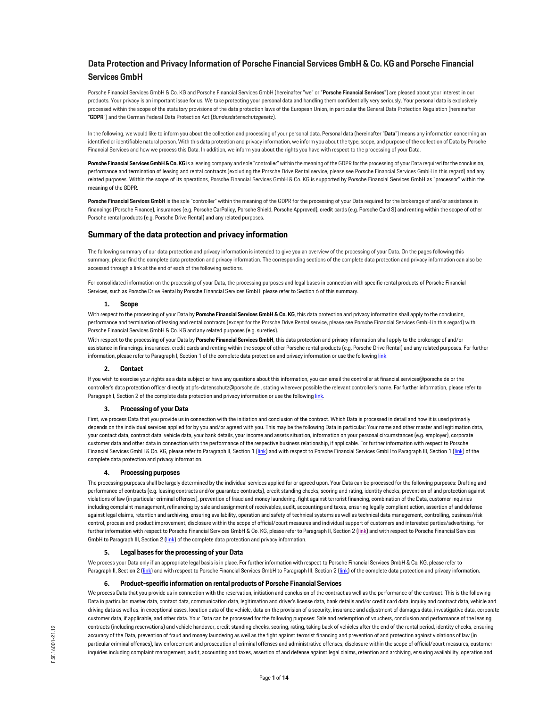# **Data Protection and Privacy Information of Porsche Financial Services GmbH & Co. KG and Porsche Financial Services GmbH**

Porsche Financial Services GmbH & Co. KG and Porsche Financial Services GmbH (hereinafter "we" or "**Porsche Financial Services**") are pleased about your interest in our products. Your privacy is an important issue for us. We take protecting your personal data and handling them confidentially very seriously. Your personal data is exclusively processed within the scope of the statutory provisions of the data protection laws of the European Union, in particular the General Data Protection Regulation (hereinafter "**GDPR**") and the German Federal Data Protection Act (*Bundesdatenschutzgesetz*).

In the following, we would like to inform you about the collection and processing of your personal data. Personal data (hereinafter "**Data**") means any information concerning an identified or identifiable natural person. With this data protection and privacy information, we inform you about the type, scope, and purpose of the collection of Data by Porsche Financial Services and how we process this Data. In addition, we inform you about the rights you have with respect to the processing of your Data.

Porsche Financial Services GmbH & Co. KG is a leasing company and sole "controller" within the meaning of the GDPR for the processing of your Data required for the conclusion, performance and termination of leasing and rental contracts (excluding the Porsche Drive Rental service, please see Porsche Financial Services GmbH in this regard) and any related purposes. Within the scope of its operations, Porsche Financial Services GmbH & Co. KG is supported by Porsche Financial Services GmbH as "processor" within the meaning of the GDPR.

**Porsche Financial Services GmbH** is the sole "controller" within the meaning of the GDPR for the processing of your Data required for the brokerage of and/or assistance in financings (Porsche Finance), insurances (e.g. Porsche CarPolicy, Porsche Shield, Porsche Approved), credit cards (e.g. Porsche Card S) and renting within the scope of other Porsche rental products (e.g. Porsche Drive Rental) and any related purposes.

# **Summary of the data protection and privacy information**

The following summary of our data protection and privacy information is intended to give you an overview of the processing of your Data. On the pages following this summary, please find the complete data protection and privacy information. The corresponding sections of the complete data protection and privacy information can also be accessed through a link at the end of each of the following sections.

For consolidated information on the processing of your Data, the processing purposes and legal bases in connection with specific rental products of Porsche Financial Services, such as Porsche Drive Rental by Porsche Financial Services GmbH, please refer to Section 6 of this summary.

# **1. Scope**

With respect to the processing of your Data by **Porsche Financial Services GmbH & Co. KG**, this data protection and privacy information shall apply to the conclusion, performance and termination of leasing and rental contracts (except for the Porsche Drive Rental service, please see Porsche Financial Services GmbH in this regard) with Porsche Financial Services GmbH & Co. KG and any related purposes (e.g. sureties).

With respect to the processing of your Data by **Porsche Financial Services GmbH**, this data protection and privacy information shall apply to the brokerage of and/or assistance in financings, insurances, credit cards and renting within the scope of other Porsche rental products (e.g. Porsche Drive Rental) and any related purposes. For further information, please refer to Paragraph I, Section 1 of the complete data protection and privacy information or use the followin[g link.](#page-1-0)

#### **2. Contact**

If you wish to exercise your rights as a data subject or have any questions about this information, you can email the controller a[t financial.services@porsche.de o](mailto:financial.services@porsche.de)r the controller's data protection officer directly a[t pfs-datenschutz@porsche.de ,](mailto:pfs-datenschutz@porsche.de) stating wherever possible the relevant controller's name. For further information, please refer to Paragraph I, Section 2 of the complete data protection and privacy information or use the followin[g link.](#page-1-1)

#### **3. Processing of your Data**

First, we process Data that you provide us in connection with the initiation and conclusion of the contract. Which Data is processed in detail and how it is used primarily depends on the individual services applied for by you and/or agreed with you. This may be the following Data in particular: Your name and other master and legitimation data, your contact data, contract data, vehicle data, your bank details, your income and assets situation, information on your personal circumstances (e.g. employer), corporate customer data and other data in connection with the performance of the respective business relationship, if applicable. For further information with respect to Porsche Financial Services GmbH & Co. KG, please refer to Paragraph II, Section [1 \(link\) a](#page-2-0)nd with respect to Porsche Financial Services GmbH to Paragraph III, Section [1 \(link\) o](#page-6-0)f the complete data protection and privacy information.

### **4. Processing purposes**

The processing purposes shall be largely determined by the individual services applied for or agreed upon. Your Data can be processed for the following purposes: Drafting and performance of contracts (e.g. leasing contracts and/or guarantee contracts), credit standing checks, scoring and rating, identity checks, prevention of and protection against violations of law (in particular criminal offenses), prevention of fraud and money laundering, fight against terrorist financing, combination of the Data, customer inquiries including complaint management, refinancing by sale and assignment of receivables, audit, accounting and taxes, ensuring legally compliant action, assertion of and defense against legal claims, retention and archiving, ensuring availability, operation and safety of technical systems as well as technical data management, controlling, business/risk control, process and product improvement, disclosure within the scope of official/court measures and individual support of customers and interested parties/advertising. For further information with respect to Porsche Financial Services GmbH & Co. KG, please refer to Paragraph II, Section [2 \(link\) a](#page-3-0)nd with respect to Porsche Financial Services GmbH to Paragraph III, Section 2 (link) of the complete data protection and privacy information.

#### **5. Legal bases for the processing of your Data**

We process your Data only if an appropriate legal basis is in place. For further information with respect to Porsche Financial Services GmbH & Co. KG, please refer to Paragraph II, Section [2 \(link\) a](#page-3-0)nd with respect to Porsche Financial Services GmbH to Paragraph III, Section 2 (link) of the complete data protection and privacy information.

# **6. Product-specific information on rental products of Porsche Financial Services**

We process Data that you provide us in connection with the reservation, initiation and conclusion of the contract as well as the performance of the contract. This is the following Data in particular: master data, contact data, communication data, legitimation and driver's license data, bank details and/or credit card data, inquiry and contract data, vehicle and driving data as well as, in exceptional cases, location data of the vehicle, data on the provision of a security, insurance and adjustment of damages data, investigative data, corporate customer data, if applicable, and other data. Your Data can be processed for the following purposes: Sale and redemption of vouchers, conclusion and performance of the leasing contracts (including reservations) and vehicle handover, credit standing checks, scoring, rating, taking back of vehicles after the end of the rental period, identity checks, ensuring accuracy of the Data, prevention of fraud and money laundering as well as the fight against terrorist financing and prevention of and protection against violations of law (in particular criminal offenses), law enforcement and prosecution of criminal offenses and administrative offenses, disclosure within the scope of official/court measures, customer inquiries including complaint management, audit, accounting and taxes, assertion of and defense against legal claims, retention and archiving, ensuring availability, operation and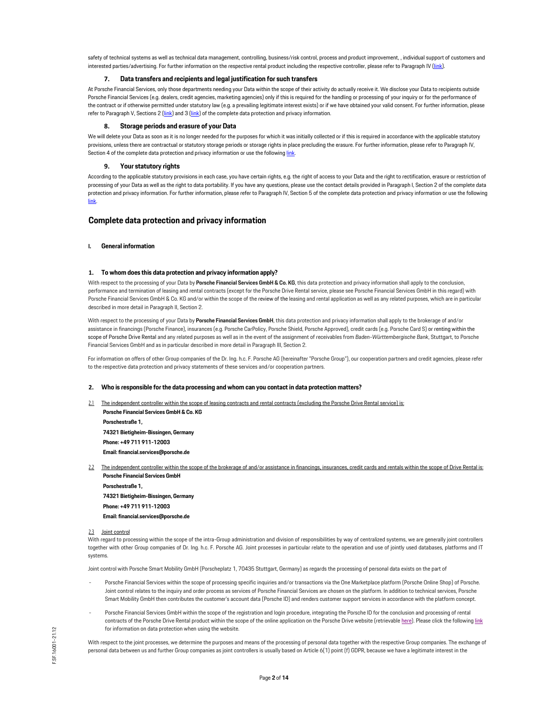safety of technical systems as well as technical data management, controlling, business/risk control, process and product improvement, , individual support of customers and interested parties/advertising. For further information on the respective rental product including the respective controller, please refer to Paragraph IV [\(link\)](#page-7-0).

# **7. Data transfers and recipients and legal justification for such transfers**

At Porsche Financial Services, only those departments needing your Data within the scope of their activity do actually receive it. We disclose your Data to recipients outside Porsche Financial Services (e.g. dealers, credit agencies, marketing agencies) only if this is required for the handling or processing of your inquiry or for the performance of the contract or if otherwise permitted under statutory law (e.g. a prevailing legitimate interest exists) or if we have obtained your valid consent. For further information, please refer to Paragraph V, Sections [2 \(link\) a](#page-11-0)nd [3 \(link\) o](#page-12-0)f the complete data protection and privacy information.

### **8. Storage periods and erasure of your Data**

We will delete your Data as soon as it is no longer needed for the purposes for which it was initially collected or if this is required in accordance with the applicable statutory provisions, unless there are contractual or statutory storage periods or storage rights in place precluding the erasure. For further information, please refer to Paragraph IV, Section 4 of the complete data protection and privacy information or use the followin[g link.](#page-12-1)

# **9. Your statutory rights**

According to the applicable statutory provisions in each case, you have certain rights, e.g. the right of access to your Data and the right to rectification, erasure or restriction of processing of your Data as well as the right to data portability. If you have any questions, please use the contact details provided in Paragraph I, Section 2 of the complete data protection and privacy information. For further information, please refer to Paragraph IV, Section 5 of the complete data protection and privacy information or use the following [link.](#page-12-2)

# **Complete data protection and privacy information**

#### <span id="page-1-0"></span>**I. General information**

#### **1. To whom does this data protection and privacy information apply?**

With respect to the processing of your Data by **Porsche Financial Services GmbH & Co. KG**, this data protection and privacy information shall apply to the conclusion, performance and termination of leasing and rental contracts (except for the Porsche Drive Rental service, please see Porsche Financial Services GmbH in this regard) with Porsche Financial Services GmbH & Co. KG and/or within the scope of the review of the leasing and rental application as well as any related purposes, which are in particular described in more detail in Paragraph II, Section 2.

With respect to the processing of your Data by Porsche Financial Services GmbH, this data protection and privacy information shall apply to the brokerage of and/or assistance in financings (Porsche Finance), insurances (e.g. Porsche CarPolicy, Porsche Shield, Porsche Approved), credit cards (e.g. Porsche Card S) or renting within the scope of Porsche Drive Rental and any related purposes as well as in the event of the assignment of receivables from *Baden-Württembergische Bank*, Stuttgart, to Porsche Financial Services GmbH and as in particular described in more detail in Paragraph III, Section 2.

For information on offers of other Group companies of the Dr. Ing. h.c. F. Porsche AG (hereinafter "Porsche Group"), our cooperation partners and credit agencies, please refer to the respective data protection and privacy statements of these services and/or cooperation partners.

## <span id="page-1-1"></span>**2. Who is responsible for the data processing and whom can you contact in data protection matters?**

The independent controller within the scope of leasing contracts and rental contracts (excluding the Porsche Drive Rental service) is: **Porsche Financial Services GmbH & Co. KG** 

**Porschestraße 1, 74321 Bietigheim-Bissingen, Germany Phone: +49 711 911-12003 Ema[il: financial.services@porsche.de](mailto:financial.services@porsche.de)**

The independent controller within the scope of the brokerage of and/or assistance in financings, insurances, credit cards and rentals within the scope of Drive Rental is: **Porsche Financial Services GmbH** 

**Porschestraße 1, 74321 Bietigheim-Bissingen, Germany Phone: +49 711 911-12003 Ema[il: financial.services@porsche.de](mailto:financial.services@porsche.de)**

#### 2.3 Joint control

With regard to processing within the scope of the intra-Group administration and division of responsibilities by way of centralized systems, we are generally joint controllers together with other Group companies of Dr. Ing. h.c. F. Porsche AG. Joint processes in particular relate to the operation and use of jointly used databases, platforms and IT systems.

Joint control with Porsche Smart Mobility GmbH (Porscheplatz 1, 70435 Stuttgart, Germany) as regards the processing of personal data exists on the part of

- Porsche Financial Services within the scope of processing specific inquiries and/or transactions via the One Marketplace platform (Porsche Online Shop) of Porsche. Joint control relates to the inquiry and order process as services of Porsche Financial Services are chosen on the platform. In addition to technical services, Porsche Smart Mobility GmbH then contributes the customer's account data (Porsche ID) and renders customer support services in accordance with the platform concept.
- Porsche Financial Services GmbH within the scope of the registration and login procedure, integrating the Porsche ID for the conclusion and processing of rental contracts of the Porsche Drive Rental product within the scope of the online application on the Porsche Drive website (retrievabl[e here\).](https://customer.drive.porsche.com/) Please click the followin[g link](https://customer.drive.porsche.com/germany/de) for information on data protection when using the website.

With respect to the joint processes, we determine the purposes and means of the processing of personal data together with the respective Group companies. The exchange of personal data between us and further Group companies as joint controllers is usually based on Article 6(1) point (f) GDPR, because we have a legitimate interest in the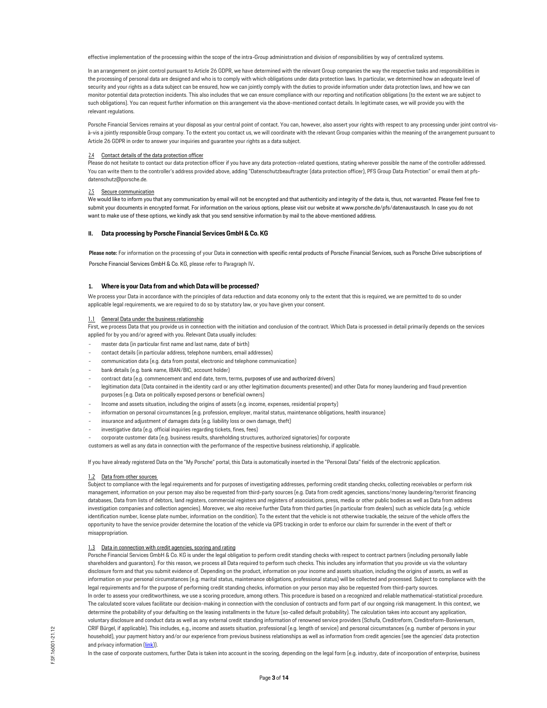effective implementation of the processing within the scope of the intra-Group administration and division of responsibilities by way of centralized systems.

In an arrangement on joint control pursuant to Article 26 GDPR, we have determined with the relevant Group companies the way the respective tasks and responsibilities in the processing of personal data are designed and who is to comply with which obligations under data protection laws. In particular, we determined how an adequate level of security and your rights as a data subject can be ensured, how we can jointly comply with the duties to provide information under data protection laws, and how we can monitor potential data protection incidents. This also includes that we can ensure compliance with our reporting and notification obligations (to the extent we are subject to such obligations). You can request further information on this arrangement via the above-mentioned contact details. In legitimate cases, we will provide you with the relevant regulations.

Porsche Financial Services remains at your disposal as your central point of contact. You can, however, also assert your rights with respect to any processing under joint control visà-vis a jointly responsible Group company. To the extent you contact us, we will coordinate with the relevant Group companies within the meaning of the arrangement pursuant to Article 26 GDPR in order to answer your inquiries and guarantee your rights as a data subject.

#### 2.4 Contact details of the data protection officer

Please do not hesitate to contact our data protection officer if you have any data protection-related questions, stating wherever possible the name of the controller addressed. You can write them to the controller's address provided above, adding "Datenschutzbeauftragter (data protection officer), PFS Group Data Protection" or email them a[t pfs](mailto:pfs-datenschutz@porsche.de)[datenschutz@porsche.de.](mailto:pfs-datenschutz@porsche.de)

#### 2.5 Secure communication

We would like to inform you that any communication by email will not be encrypted and that authenticity and integrity of the data is, thus, not warranted. Please feel free to submit your documents in encrypted format. For information on the various options, please visit our website a[t www.porsche.de/pfs/datenaustausch. In](http://www.porsche.de/pfs/datenaustausch) case you do not want to make use of these options, we kindly ask that you send sensitive information by mail to the above-mentioned address.

#### **II. Data processing by Porsche Financial Services GmbH & Co. KG**

**Please note:** For information on the processing of your Data in connection with specific rental products of Porsche Financial Services, such as Porsche Drive subscriptions of Porsche Financial Services GmbH & Co. KG, please refer to Paragraph IV.

#### <span id="page-2-0"></span>**1. Where is your Data from and which Data will be processed?**

We process your Data in accordance with the principles of data reduction and data economy only to the extent that this is required, we are permitted to do so under applicable legal requirements, we are required to do so by statutory law, or you have given your consent.

### 1.1 General Data under the business relationship

First, we process Data that you provide us in connection with the initiation and conclusion of the contract. Which Data is processed in detail primarily depends on the services applied for by you and/or agreed with you. Relevant Data usually includes:

- master data (in particular first name and last name, date of birth)
- contact details (in particular address, telephone numbers, email addresses)
- communication data (e.g. data from postal, electronic and telephone communication)
- bank details (e.g. bank name, IBAN/BIC, account holder)
- contract data (e.g. commencement and end date, term, terms, purposes of use and authorized drivers)
- legitimation data (Data contained in the identity card or any other legitimation documents presented) and other Data for money laundering and fraud prevention purposes (e.g. Data on politically exposed persons or beneficial owners)
- Income and assets situation, including the origins of assets (e.g. income, expenses, residential property)
- information on personal circumstances (e.g. profession, employer, marital status, maintenance obligations, health insurance)
- insurance and adjustment of damages data (e.g. liability loss or own damage, theft)
- investigative data (e.g. official inquiries regarding tickets, fines, fees)
- corporate customer data (e.g. business results, shareholding structures, authorized signatories) for corporate

customers as well as any data in connection with the performance of the respective business relationship, if applicable.

If you have already registered Data on the "My Porsche" portal, this Data is automatically inserted in the "Personal Data" fields of the electronic application.

#### 1.2 Data from other sources

Subject to compliance with the legal requirements and for purposes of investigating addresses, performing credit standing checks, collecting receivables or perform risk management, information on your person may also be requested from third-party sources (e.g. Data from credit agencies, sanctions/money laundering/terrorist financing databases, Data from lists of debtors, land registers, commercial registers and registers of associations, press, media or other public bodies as well as Data from address investigation companies and collection agencies). Moreover, we also receive further Data from third parties (in particular from dealers) such as vehicle data (e.g. vehicle identification number, license plate number, information on the condition). To the extent that the vehicle is not otherwise trackable, the seizure of the vehicle offers the opportunity to have the service provider determine the location of the vehicle via GPS tracking in order to enforce our claim for surrender in the event of theft or misappropriation.

#### 1.3 Data in connection with credit agencies, scoring and rating

Porsche Financial Services GmbH & Co. KG is under the legal obligation to perform credit standing checks with respect to contract partners (including personally liable shareholders and guarantors). For this reason, we process all Data required to perform such checks. This includes any information that you provide us via the voluntary disclosure form and that you submit evidence of. Depending on the product, information on your income and assets situation, including the origins of assets, as well as information on your personal circumstances (e.g. marital status, maintenance obligations, professional status) will be collected and processed. Subject to compliance with the legal requirements and for the purpose of performing credit standing checks, information on your person may also be requested from third-party sources. In order to assess your creditworthiness, we use a scoring procedure, among others. This procedure is based on a recognized and reliable mathematical-statistical procedure. The calculated score values facilitate our decision-making in connection with the conclusion of contracts and form part of our ongoing risk management. In this context, we determine the probability of your defaulting on the leasing installments in the future (so-called default probability). The calculation takes into account any application, voluntary disclosure and conduct data as well as any external credit standing information of renowned service providers (Schufa, Creditreform, Creditreform-Boniversum, CRIF Bürgel, if applicable). This includes, e.g., income and assets situation, professional (e.g. length of service) and personal circumstances (e.g. number of persons in your household), your payment history and/or our experience from previous business relationships as well as information from credit agencies (see the agencies' data protection and privacy informatio[n \(link\)\)](#page-4-0).

In the case of corporate customers, further Data is taken into account in the scoring, depending on the legal form (e.g. industry, date of incorporation of enterprise, business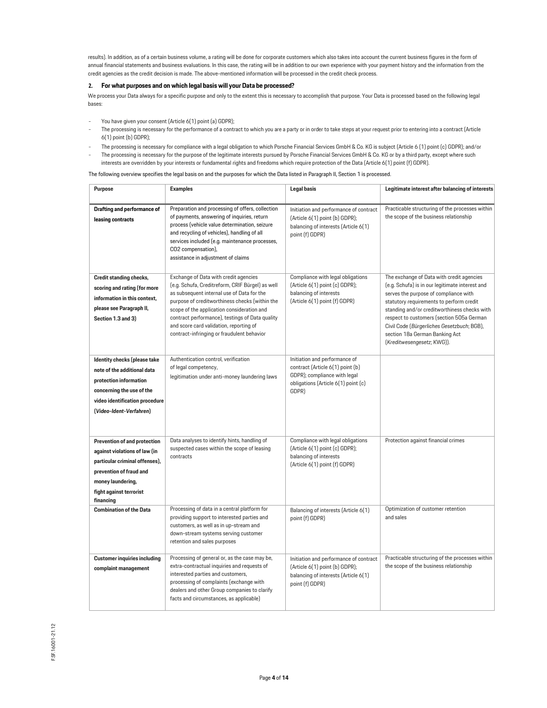results). In addition, as of a certain business volume, a rating will be done for corporate customers which also takes into account the current business figures in the form of annual financial statements and business evaluations. In this case, the rating will be in addition to our own experience with your payment history and the information from the credit agencies as the credit decision is made. The above-mentioned information will be processed in the credit check process.

# <span id="page-3-0"></span>**2. For what purposes and on which legal basis will your Data be processed?**

We process your Data always for a specific purpose and only to the extent this is necessary to accomplish that purpose. Your Data is processed based on the following legal bases:

- You have given your consent (Article 6(1) point (a) GDPR);
- The processing is necessary for the performance of a contract to which you are a party or in order to take steps at your request prior to entering into a contract (Article 6(1) point (b) GDPR);
- The processing is necessary for compliance with a legal obligation to which Porsche Financial Services GmbH & Co. KG is subject (Article 6 (1) point (c) GDPR); and/or - The processing is necessary for the purpose of the legitimate interests pursued by Porsche Financial Services GmbH & Co. KG or by a third party, except where such
- interests are overridden by your interests or fundamental rights and freedoms which require protection of the Data (Article 6(1) point (f) GDPR).

The following overview specifies the legal basis on and the purposes for which the Data listed in Paragraph II, Section 1 is processed.

| <b>Purpose</b>                                                                                                                                                                          | <b>Examples</b>                                                                                                                                                                                                                                                                                                                                                                     | <b>Legal basis</b>                                                                                                                                | Legitimate interest after balancing of interests                                                                                                                                                                                                                                                                                                                                             |
|-----------------------------------------------------------------------------------------------------------------------------------------------------------------------------------------|-------------------------------------------------------------------------------------------------------------------------------------------------------------------------------------------------------------------------------------------------------------------------------------------------------------------------------------------------------------------------------------|---------------------------------------------------------------------------------------------------------------------------------------------------|----------------------------------------------------------------------------------------------------------------------------------------------------------------------------------------------------------------------------------------------------------------------------------------------------------------------------------------------------------------------------------------------|
| Drafting and performance of<br>leasing contracts                                                                                                                                        | Preparation and processing of offers, collection<br>of payments, answering of inquiries, return<br>process (vehicle value determination, seizure<br>and recycling of vehicles), handling of all<br>services included (e.g. maintenance processes,<br>CO2 compensation),<br>assistance in adjustment of claims                                                                       | Initiation and performance of contract<br>(Article 6(1) point (b) GDPR);<br>balancing of interests (Article 6(1)<br>point (f) GDPR)               | Practicable structuring of the processes within<br>the scope of the business relationship                                                                                                                                                                                                                                                                                                    |
| Credit standing checks,<br>scoring and rating (for more<br>information in this context.<br>please see Paragraph II,<br>Section 1.3 and 3)                                               | Exchange of Data with credit agencies<br>(e.g. Schufa, Creditreform, CRIF Bürgel) as well<br>as subsequent internal use of Data for the<br>purpose of creditworthiness checks (within the<br>scope of the application consideration and<br>contract performance), testings of Data quality<br>and score card validation, reporting of<br>contract-infringing or fraudulent behavior | Compliance with legal obligations<br>(Article 6(1) point (c) GDPR);<br>balancing of interests<br>(Article 6(1) point (f) GDPR)                    | The exchange of Data with credit agencies<br>(e.g. Schufa) is in our legitimate interest and<br>serves the purpose of compliance with<br>statutory requirements to perform credit<br>standing and/or creditworthiness checks with<br>respect to customers (section 505a German<br>Civil Code (Bürgerliches Gesetzbuch; BGB),<br>section 18a German Banking Act<br>(Kreditwesengesetz; KWG)). |
| Identity checks (please take<br>note of the additional data<br>protection information<br>concerning the use of the<br>video identification procedure<br>(Video-Ident-Verfahren)         | Authentication control, verification<br>of legal competency,<br>legitimation under anti-money laundering laws                                                                                                                                                                                                                                                                       | Initiation and performance of<br>contract (Article 6(1) point (b)<br>GDPR); compliance with legal<br>obligations (Article 6(1) point (c)<br>GDPR) |                                                                                                                                                                                                                                                                                                                                                                                              |
| Prevention of and protection<br>against violations of law (in<br>particular criminal offenses),<br>prevention of fraud and<br>money laundering,<br>fight against terrorist<br>financing | Data analyses to identify hints, handling of<br>suspected cases within the scope of leasing<br>contracts                                                                                                                                                                                                                                                                            | Compliance with legal obligations<br>(Article 6(1) point (c) GDPR);<br>balancing of interests<br>(Article 6(1) point (f) GDPR)                    | Protection against financial crimes                                                                                                                                                                                                                                                                                                                                                          |
| <b>Combination of the Data</b>                                                                                                                                                          | Processing of data in a central platform for<br>providing support to interested parties and<br>customers, as well as in up-stream and<br>down-stream systems serving customer<br>retention and sales purposes                                                                                                                                                                       | Balancing of interests (Article 6(1)<br>point (f) GDPR)                                                                                           | Optimization of customer retention<br>and sales                                                                                                                                                                                                                                                                                                                                              |
| <b>Customer inquiries including</b><br>complaint management                                                                                                                             | Processing of general or, as the case may be,<br>extra-contractual inquiries and requests of<br>interested parties and customers,<br>processing of complaints (exchange with<br>dealers and other Group companies to clarify<br>facts and circumstances, as applicable)                                                                                                             | Initiation and performance of contract<br>(Article 6(1) point (b) GDPR);<br>balancing of interests (Article 6(1)<br>point (f) GDPR)               | Practicable structuring of the processes within<br>the scope of the business relationship                                                                                                                                                                                                                                                                                                    |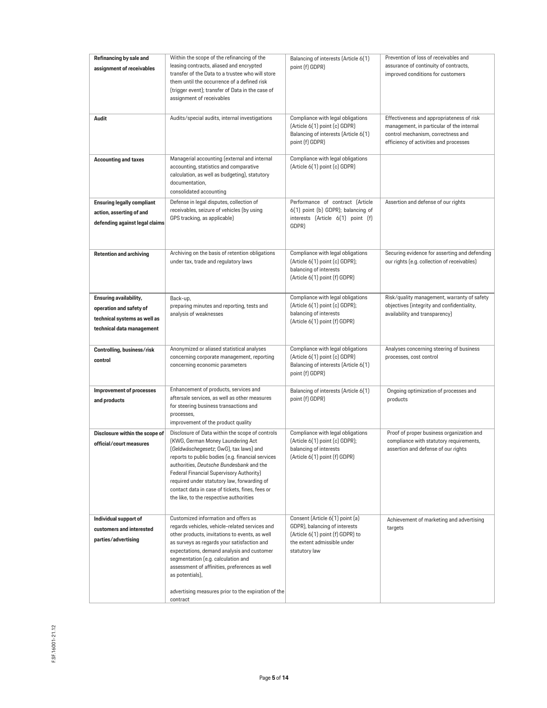<span id="page-4-0"></span>

| Refinancing by sale and<br>assignment of receivables                                            | Within the scope of the refinancing of the<br>leasing contracts, aliased and encrypted<br>transfer of the Data to a trustee who will store<br>them until the occurrence of a defined risk<br>(trigger event); transfer of Data in the case of<br>assignment of receivables | Balancing of interests (Article 6(1)<br>point (f) GDPR)                                                                        | Prevention of loss of receivables and<br>assurance of continuity of contracts,<br>improved conditions for customers                                                    |
|-------------------------------------------------------------------------------------------------|----------------------------------------------------------------------------------------------------------------------------------------------------------------------------------------------------------------------------------------------------------------------------|--------------------------------------------------------------------------------------------------------------------------------|------------------------------------------------------------------------------------------------------------------------------------------------------------------------|
| Audit                                                                                           | Audits/special audits, internal investigations                                                                                                                                                                                                                             | Compliance with legal obligations<br>(Article 6(1) point (c) GDPR)<br>Balancing of interests (Article 6(1)<br>point (f) GDPR)  | Effectiveness and appropriateness of risk<br>management, in particular of the internal<br>control mechanism, correctness and<br>efficiency of activities and processes |
| <b>Accounting and taxes</b>                                                                     | Managerial accounting (external and internal<br>accounting, statistics and comparative<br>calculation, as well as budgeting), statutory<br>documentation,<br>consolidated accounting                                                                                       | Compliance with legal obligations<br>(Article 6(1) point (c) GDPR)                                                             |                                                                                                                                                                        |
| <b>Ensuring legally compliant</b><br>action, asserting of and<br>defending against legal claims | Defense in legal disputes, collection of<br>receivables, seizure of vehicles (by using<br>GPS tracking, as applicable)                                                                                                                                                     | Performance of contract (Article<br>6(1) point (b) GDPR); balancing of<br>interests (Article 6(1) point (f)<br>GDPR)           | Assertion and defense of our rights                                                                                                                                    |
| <b>Retention and archiving</b>                                                                  | Archiving on the basis of retention obligations<br>under tax, trade and regulatory laws                                                                                                                                                                                    | Compliance with legal obligations<br>(Article 6(1) point (c) GDPR);<br>balancing of interests<br>(Article 6(1) point (f) GDPR) | Securing evidence for asserting and defending<br>our rights (e.g. collection of receivables)                                                                           |
| Ensuring availability,                                                                          | Back-up,                                                                                                                                                                                                                                                                   | Compliance with legal obligations                                                                                              | Risk/quality management, warranty of safety                                                                                                                            |
|                                                                                                 | preparing minutes and reporting, tests and                                                                                                                                                                                                                                 | (Article 6(1) point (c) GDPR);                                                                                                 | objectives (integrity and confidentiality,                                                                                                                             |
| operation and safety of                                                                         | analysis of weaknesses                                                                                                                                                                                                                                                     | balancing of interests                                                                                                         | availability and transparency)                                                                                                                                         |
| technical systems as well as                                                                    |                                                                                                                                                                                                                                                                            | (Article 6(1) point (f) GDPR)                                                                                                  |                                                                                                                                                                        |
| technical data management                                                                       |                                                                                                                                                                                                                                                                            |                                                                                                                                |                                                                                                                                                                        |
|                                                                                                 |                                                                                                                                                                                                                                                                            |                                                                                                                                |                                                                                                                                                                        |
|                                                                                                 | Anonymized or aliased statistical analyses                                                                                                                                                                                                                                 | Compliance with legal obligations                                                                                              | Analyses concerning steering of business                                                                                                                               |
| Controlling, business/risk                                                                      | concerning corporate management, reporting                                                                                                                                                                                                                                 | (Article 6(1) point (c) GDPR)                                                                                                  | processes, cost control                                                                                                                                                |
| control                                                                                         | concerning economic parameters                                                                                                                                                                                                                                             | Balancing of interests (Article 6(1)<br>point (f) GDPR)                                                                        |                                                                                                                                                                        |
| Improvement of processes                                                                        | Enhancement of products, services and                                                                                                                                                                                                                                      | Balancing of interests (Article 6(1)                                                                                           | Ongoing optimization of processes and                                                                                                                                  |
|                                                                                                 | aftersale services, as well as other measures                                                                                                                                                                                                                              | point (f) GDPR)                                                                                                                | products                                                                                                                                                               |
| and products                                                                                    | for steering business transactions and                                                                                                                                                                                                                                     |                                                                                                                                |                                                                                                                                                                        |
|                                                                                                 | processes,                                                                                                                                                                                                                                                                 |                                                                                                                                |                                                                                                                                                                        |
|                                                                                                 | improvement of the product quality                                                                                                                                                                                                                                         |                                                                                                                                |                                                                                                                                                                        |
| Disclosure within the scope of                                                                  | Disclosure of Data within the scope of controls                                                                                                                                                                                                                            | Compliance with legal obligations                                                                                              | Proof of proper business organization and                                                                                                                              |
| official/court measures                                                                         | (KWG, German Money Laundering Act)                                                                                                                                                                                                                                         | (Article 6(1) point (c) GDPR);                                                                                                 | compliance with statutory requirements,                                                                                                                                |
|                                                                                                 | (Geldwäschegesetz; GwG), tax laws) and                                                                                                                                                                                                                                     | balancing of interests                                                                                                         | assertion and defense of our rights                                                                                                                                    |
|                                                                                                 | reports to public bodies (e.g. financial services<br>authorities, Deutsche Bundesbank and the                                                                                                                                                                              | (Article 6(1) point (f) GDPR)                                                                                                  |                                                                                                                                                                        |
|                                                                                                 | Federal Financial Supervisory Authority)                                                                                                                                                                                                                                   |                                                                                                                                |                                                                                                                                                                        |
|                                                                                                 | required under statutory law, forwarding of                                                                                                                                                                                                                                |                                                                                                                                |                                                                                                                                                                        |
|                                                                                                 | contact data in case of tickets, fines, fees or                                                                                                                                                                                                                            |                                                                                                                                |                                                                                                                                                                        |
|                                                                                                 | the like, to the respective authorities                                                                                                                                                                                                                                    |                                                                                                                                |                                                                                                                                                                        |
|                                                                                                 |                                                                                                                                                                                                                                                                            |                                                                                                                                |                                                                                                                                                                        |
| Individual support of                                                                           | Customized information and offers as                                                                                                                                                                                                                                       | Consent (Article 6(1) point (a)                                                                                                | Achievement of marketing and advertising                                                                                                                               |
| customers and interested                                                                        | regards vehicles, vehicle-related services and                                                                                                                                                                                                                             | GDPR), balancing of interests                                                                                                  | targets                                                                                                                                                                |
| parties/advertising                                                                             | other products, invitations to events, as well                                                                                                                                                                                                                             | (Article 6(1) point (f) GDPR) to                                                                                               |                                                                                                                                                                        |
|                                                                                                 | as surveys as regards your satisfaction and                                                                                                                                                                                                                                | the extent admissible under                                                                                                    |                                                                                                                                                                        |
|                                                                                                 | expectations, demand analysis and customer<br>segmentation (e.g. calculation and                                                                                                                                                                                           | statutory law                                                                                                                  |                                                                                                                                                                        |
|                                                                                                 | assessment of affinities, preferences as well                                                                                                                                                                                                                              |                                                                                                                                |                                                                                                                                                                        |
|                                                                                                 | as potentials),                                                                                                                                                                                                                                                            |                                                                                                                                |                                                                                                                                                                        |
|                                                                                                 |                                                                                                                                                                                                                                                                            |                                                                                                                                |                                                                                                                                                                        |
|                                                                                                 | advertising measures prior to the expiration of the                                                                                                                                                                                                                        |                                                                                                                                |                                                                                                                                                                        |
|                                                                                                 | contract                                                                                                                                                                                                                                                                   |                                                                                                                                |                                                                                                                                                                        |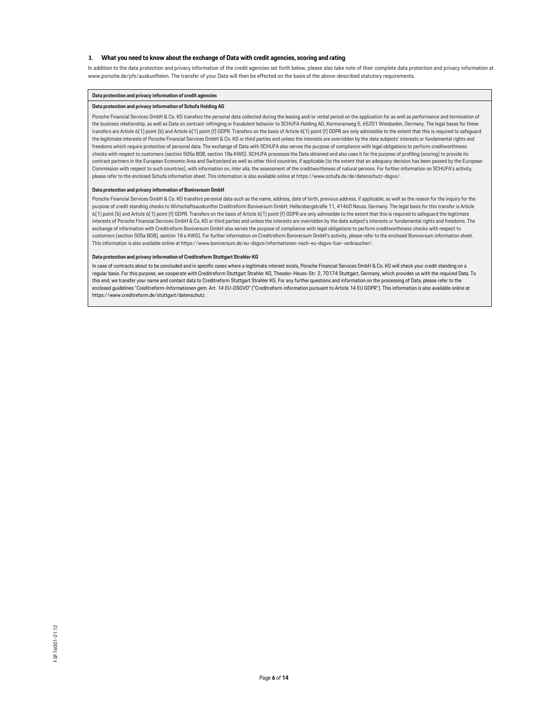### **3. What you need to know about the exchange of Data with credit agencies, scoring and rating**

In addition to the data protection and privacy information of the credit agencies set forth below, please also take note of their complete data protection and privacy information at [www.porsche.de/pfs/auskunfteien. T](http://www.porsche.de/pfs/auskunfteien)he transfer of your Data will then be effected on the basis of the above-described statutory requirements.

#### **Data protection and privacy information of credit agencies**

#### **Data protection and privacy information of Schufa Holding AG**

Porsche Financial Services GmbH & Co. KG transfers the personal data collected during the leasing and/or rental period on the application for as well as performance and termination of the business relationship, as well as Data on contract-infringing or fraudulent behavior to SCHUFA Holding AG, Kormoranweg 5, 65201 Wiesbaden, Germany. The legal bases for these transfers are Article 6(1) point (b) and Article 6(1) point (f) GDPR. Transfers on the basis of Article 6(1) point (f) GDPR are only admissible to the extent that this is required to safeguard the legitimate interests of Porsche Financial Services GmbH & Co. KG or third parties and unless the interests are overridden by the data subjects' interests or fundamental rights and freedoms which require protection of personal data. The exchange of Data with SCHUFA also serves the purpose of compliance with legal obligations to perform creditworthiness checks with respect to customers (section 505a BGB, section 18a KWG). SCHUFA processes the Data obtained and also uses it for the purpose of profiling (scoring) to provide its contract partners in the European Economic Area and Switzerland as well as other third countries, if applicable (to the extent that an adequacy decision has been passed by the European Commission with respect to such countries), with information on, *inter alia*, the assessment of the creditworthiness of natural persons. For further information on SCHUFA's activity, please refer to the enclosed Schufa information sheet. This information is also available online at https:/[/www.schufa.de/de/datenschutz-dsgvo/ .](http://www.schufa.de/de/datenschutz-dsgvo/)

#### **Data protection and privacy information of Boniversum GmbH**

Porsche Financial Services GmbH & Co. KG transfers personal data such as the name, address, date of birth, previous address, if applicable, as well as the reason for the inquiry for the purpose of credit standing checks to Wirtschaftsauskunftei Creditreform Boniversum GmbH, Hellersbergstraße 11, 41460 Neuss, Germany. The legal basis for this transfer is Article 6(1) point (b) and Article 6(1) point (f) GDPR. Transfers on the basis of Article 6(1) point (f) GDPR are only admissible to the extent that this is required to safeguard the legitimate interests of Porsche Financial Services GmbH & Co. KG or third parties and unless the interests are overridden by the data subject's interests or fundamental rights and freedoms. The exchange of information with Creditreform Boniversum GmbH also serves the purpose of compliance with legal obligations to perform creditworthiness checks with respect to customers (section 505a BGB), section 18 a KWG). For further information on Creditreform Boniversum GmbH's activity, please refer to the enclosed Boniversum information sheet. This information is also available online at https:/[/www.boniversum.de/eu-dsgvo/informationen-nach-eu-dsgvo-fuer-verbraucher/.](http://www.boniversum.de/eu-dsgvo/informationen-nach-eu-dsgvo-fuer-verbraucher/)

#### **Data protection and privacy information of Creditreform Stuttgart Strahler KG**

In case of contracts about to be concluded and in specific cases where a legitimate interest exists, Porsche Financial Services GmbH & Co. KG will check your credit standing on a regular basis. For this purpose, we cooperate with Creditreform Stuttgart Strahler KG, Theodor-Heuss-Str. 2, 70174 Stuttgart, Germany, which provides us with the required Data. To this end, we transfer your name and contact data to Creditreform Stuttgart Strahler KG. For any further questions and information on the processing of Data, please refer to the enclosed guidelines "*Creditreform-Informationen gem. Art. 14 EU-DSGVO*" ("Creditreform information pursuant to Article 14 EU GDPR"). This information is also available online at https:/[/www.creditreform.de/stuttgart/datenschutz .](http://www.creditreform.de/stuttgart/datenschutz)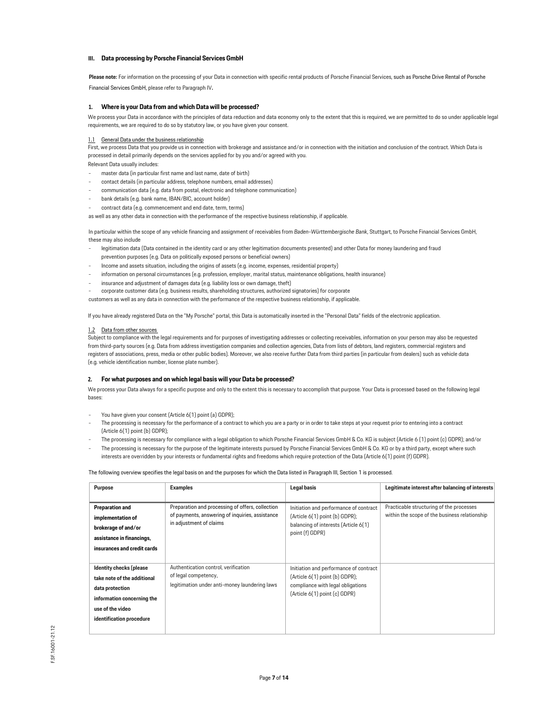### **III. Data processing by Porsche Financial Services GmbH**

**Please note:** For information on the processing of your Data in connection with specific rental products of Porsche Financial Services, such as Porsche Drive Rental of Porsche Financial Services GmbH, please refer to Paragraph IV.

### <span id="page-6-0"></span>**1. Where is your Data from and which Data will be processed?**

We process your Data in accordance with the principles of data reduction and data economy only to the extent that this is required, we are permitted to do so under applicable legal requirements, we are required to do so by statutory law, or you have given your consent.

#### 1.1 General Data under the business relationship

First, we process Data that you provide us in connection with brokerage and assistance and/or in connection with the initiation and conclusion of the contract. Which Data is processed in detail primarily depends on the services applied for by you and/or agreed with you.

Relevant Data usually includes:

- master data (in particular first name and last name, date of birth)
- contact details (in particular address, telephone numbers, email addresses)
- communication data (e.g. data from postal, electronic and telephone communication)
- bank details (e.g. bank name, IBAN/BIC, account holder)
- contract data (e.g. commencement and end date, term, terms)

as well as any other data in connection with the performance of the respective business relationship, if applicable.

In particular within the scope of any vehicle financing and assignment of receivables from *Baden-Württembergische Bank*, Stuttgart, to Porsche Financial Services GmbH, these may also include

- legitimation data (Data contained in the identity card or any other legitimation documents presented) and other Data for money laundering and fraud prevention purposes (e.g. Data on politically exposed persons or beneficial owners)
- Income and assets situation, including the origins of assets (e.g. income, expenses, residential property)
- information on personal circumstances (e.g. profession, employer, marital status, maintenance obligations, health insurance)
- insurance and adjustment of damages data (e.g. liability loss or own damage, theft)
- corporate customer data (e.g. business results, shareholding structures, authorized signatories) for corporate

customers as well as any data in connection with the performance of the respective business relationship, if applicable.

If you have already registered Data on the "My Porsche" portal, this Data is automatically inserted in the "Personal Data" fields of the electronic application.

#### 1.2 Data from other sources

Subject to compliance with the legal requirements and for purposes of investigating addresses or collecting receivables, information on your person may also be requested from third-party sources (e.g. Data from address investigation companies and collection agencies, Data from lists of debtors, land registers, commercial registers and registers of associations, press, media or other public bodies). Moreover, we also receive further Data from third parties (in particular from dealers) such as vehicle data (e.g. vehicle identification number, license plate number).

# **2. For what purposes and on which legal basis will your Data be processed?**

We process your Data always for a specific purpose and only to the extent this is necessary to accomplish that purpose. Your Data is processed based on the following legal bases:

- You have given your consent (Article 6(1) point (a) GDPR);
- The processing is necessary for the performance of a contract to which you are a party or in order to take steps at your request prior to entering into a contract (Article 6(1) point (b) GDPR);
- The processing is necessary for compliance with a legal obligation to which Porsche Financial Services GmbH & Co. KG is subject (Article 6 (1) point (c) GDPR); and/or The processing is necessary for the purpose of the legitimate interests pursued by Porsche Financial Services GmbH & Co. KG or by a third party, except where such interests are overridden by your interests or fundamental rights and freedoms which require protection of the Data (Article 6(1) point (f) GDPR).

The following overview specifies the legal basis on and the purposes for which the Data listed in Paragraph III, Section 1 is processed.

| Purpose                     | <b>Examples</b>                                                            | <b>Legal basis</b>                                                 | Legitimate interest after balancing of interests |
|-----------------------------|----------------------------------------------------------------------------|--------------------------------------------------------------------|--------------------------------------------------|
|                             |                                                                            |                                                                    |                                                  |
| <b>Preparation and</b>      | Preparation and processing of offers, collection                           | Initiation and performance of contract                             | Practicable structuring of the processes         |
| implementation of           | of payments, answering of inquiries, assistance<br>in adjustment of claims | [Article 6(1) point (b) GDPR];                                     | within the scope of the business relationship    |
| brokerage of and/or         |                                                                            | balancing of interests (Article 6(1)<br>point (f) GDPR)            |                                                  |
| assistance in financings,   |                                                                            |                                                                    |                                                  |
| insurances and credit cards |                                                                            |                                                                    |                                                  |
|                             |                                                                            |                                                                    |                                                  |
| Identity checks (please     | Authentication control, verification                                       | Initiation and performance of contract                             |                                                  |
| take note of the additional | of legal competency,                                                       | [Article 6(1) point (b) GDPR];                                     |                                                  |
| data protection             | legitimation under anti-money laundering laws                              | compliance with legal obligations<br>(Article 6(1) point (c) GDPR) |                                                  |
| information concerning the  |                                                                            |                                                                    |                                                  |
| use of the video            |                                                                            |                                                                    |                                                  |
| identification procedure    |                                                                            |                                                                    |                                                  |
|                             |                                                                            |                                                                    |                                                  |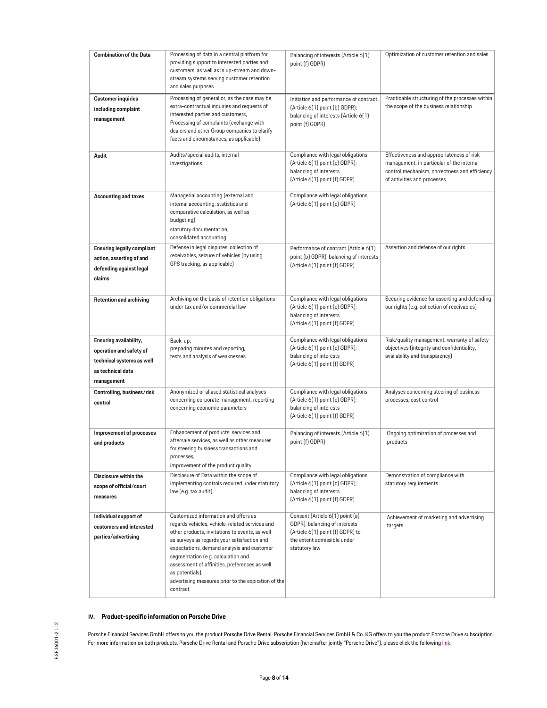| <b>Combination of the Data</b>                                                                                    | Processing of data in a central platform for<br>providing support to interested parties and<br>customers, as well as in up-stream and down-<br>stream systems serving customer retention<br>and sales purposes                                                                                                                                                                                                     | Balancing of interests (Article 6(1)<br>point (f) GDPR)                                                                                              | Optimization of customer retention and sales                                                                                                                           |
|-------------------------------------------------------------------------------------------------------------------|--------------------------------------------------------------------------------------------------------------------------------------------------------------------------------------------------------------------------------------------------------------------------------------------------------------------------------------------------------------------------------------------------------------------|------------------------------------------------------------------------------------------------------------------------------------------------------|------------------------------------------------------------------------------------------------------------------------------------------------------------------------|
| <b>Customer inquiries</b><br>including complaint<br>management                                                    | Processing of general or, as the case may be,<br>extra-contractual inquiries and requests of<br>interested parties and customers,<br>Processing of complaints (exchange with<br>dealers and other Group companies to clarify<br>facts and circumstances, as applicable)                                                                                                                                            | Initiation and performance of contract<br>(Article 6(1) point (b) GDPR);<br>balancing of interests (Article 6(1)<br>point (f) GDPR)                  | Practicable structuring of the processes within<br>the scope of the business relationship                                                                              |
| Audit                                                                                                             | Audits/special audits, internal<br>investigations                                                                                                                                                                                                                                                                                                                                                                  | Compliance with legal obligations<br>(Article 6(1) point (c) GDPR);<br>balancing of interests<br>(Article 6(1) point (f) GDPR)                       | Effectiveness and appropriateness of risk<br>management, in particular of the internal<br>control mechanism, correctness and efficiency<br>of activities and processes |
| <b>Accounting and taxes</b>                                                                                       | Managerial accounting (external and<br>internal accounting, statistics and<br>comparative calculation, as well as<br>budgeting),<br>statutory documentation,<br>consolidated accounting                                                                                                                                                                                                                            | Compliance with legal obligations<br>(Article 6(1) point (c) GDPR)                                                                                   |                                                                                                                                                                        |
| <b>Ensuring legally compliant</b><br>action, asserting of and<br>defending against legal<br>claims                | Defense in legal disputes, collection of<br>receivables, seizure of vehicles (by using<br>GPS tracking, as applicable)                                                                                                                                                                                                                                                                                             | Performance of contract (Article 6(1)<br>point (b) GDPR); balancing of interests<br>(Article 6(1) point (f) GDPR)                                    | Assertion and defense of our rights                                                                                                                                    |
| <b>Retention and archiving</b>                                                                                    | Archiving on the basis of retention obligations<br>under tax and/or commercial law                                                                                                                                                                                                                                                                                                                                 | Compliance with legal obligations<br>(Article 6(1) point (c) GDPR);<br>balancing of interests<br>(Article 6(1) point (f) GDPR)                       | Securing evidence for asserting and defending<br>our rights (e.g. collection of receivables)                                                                           |
| Ensuring availability,<br>operation and safety of<br>technical systems as well<br>as technical data<br>management | Back-up,<br>preparing minutes and reporting,<br>tests and analysis of weaknesses                                                                                                                                                                                                                                                                                                                                   | Compliance with legal obligations<br>(Article 6(1) point (c) GDPR);<br>balancing of interests<br>(Article 6(1) point (f) GDPR)                       | Risk/quality management, warranty of safety<br>objectives (integrity and confidentiality,<br>availability and transparency)                                            |
| Controlling, business/risk<br>control                                                                             | Anonymized or aliased statistical analyses<br>concerning corporate management, reporting<br>concerning economic parameters                                                                                                                                                                                                                                                                                         | Compliance with legal obligations<br>(Article 6(1) point (c) GDPR);<br>balancing of interests<br>(Article 6(1) point (f) GDPR)                       | Analyses concerning steering of business<br>processes, cost control                                                                                                    |
| Improvement of processes<br>and products                                                                          | Enhancement of products, services and<br>aftersale services, as well as other measures<br>for steering business transactions and<br>processes,<br>improvement of the product quality                                                                                                                                                                                                                               | Balancing of interests (Article 6(1)<br>point (f) GDPR)                                                                                              | Ongoing optimization of processes and<br>products                                                                                                                      |
| Disclosure within the<br>scope of official/court<br>measures                                                      | Disclosure of Data within the scope of<br>implementing controls required under statutory<br>law (e.g. tax audit)                                                                                                                                                                                                                                                                                                   | Compliance with legal obligations<br>(Article 6(1) point (c) GDPR);<br>balancing of interests<br>(Article 6(1) point (f) GDPR)                       | Demonstration of compliance with<br>statutory requirements                                                                                                             |
| Individual support of<br>customers and interested<br>parties/advertising                                          | Customized information and offers as<br>regards vehicles, vehicle-related services and<br>other products, invitations to events, as well<br>as surveys as regards your satisfaction and<br>expectations, demand analysis and customer<br>segmentation (e.g. calculation and<br>assessment of affinities, preferences as well<br>as potentials),<br>advertising measures prior to the expiration of the<br>contract | Consent (Article 6(1) point (a)<br>GDPR), balancing of interests<br>(Article 6(1) point (f) GDPR) to<br>the extent admissible under<br>statutory law | Achievement of marketing and advertising<br>targets                                                                                                                    |

# **IV. Product-specific information on Porsche Drive**

<span id="page-7-0"></span>Porsche Financial Services GmbH offers to you the product Porsche Drive Rental. Porsche Financial Services GmbH & Co. KG offers to you the product Porsche Drive subscription. For more information on both products, Porsche Drive Rental and Porsche Drive subscription (hereinafter jointly "Porsche Drive"), please click the followin[g link.](https://www.porsche.com/germany/motorsportandevents/porschedrive/)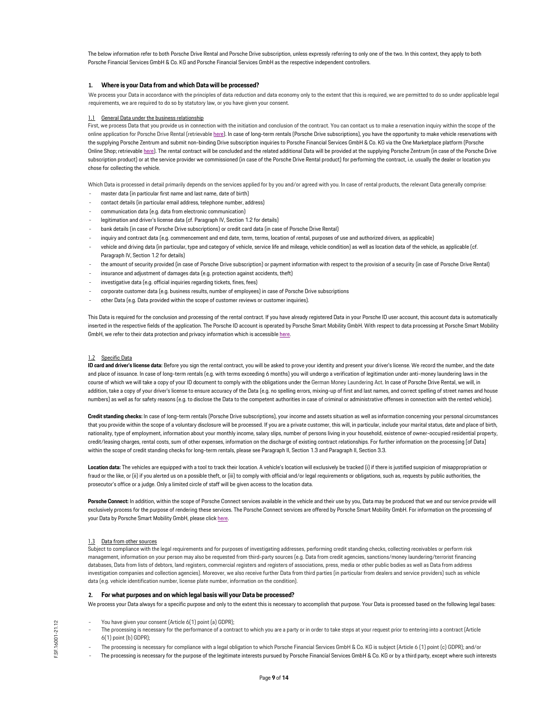The below information refer to both Porsche Drive Rental and Porsche Drive subscription, unless expressly referring to only one of the two. In this context, they apply to both Porsche Financial Services GmbH & Co. KG and Porsche Financial Services GmbH as the respective independent controllers.

# **1. Where is your Data from and which Data will be processed?**

We process your Data in accordance with the principles of data reduction and data economy only to the extent that this is required, we are permitted to do so under applicable legal requirements, we are required to do so by statutory law, or you have given your consent.

### 1.1 General Data under the business relationship

First, we process Data that you provide us in connection with the initiation and conclusion of the contract. You can contact us to make a reservation inquiry within the scope of the online application for Porsche Drive Rental (retrievable [here\)](https://customer.drive.porsche.com/germany/de). In case of long-term rentals (Porsche Drive subscriptions), you have the opportunity to make vehicle reservations with the supplying Porsche Zentrum and submit non-binding Drive subscription inquiries to Porsche Financial Services GmbH & Co. KG via the One Marketplace platform (Porsche Online Shop; retrievabl[e here\)](https://finder.porsche.com/de/de-DE/search?financing-product-type=renting). The rental contract will be concluded and the related additional Data will be provided at the supplying Porsche Zentrum (in case of the Porsche Drive subscription product) or at the service provider we commissioned (in case of the Porsche Drive Rental product) for performing the contract, i.e. usually the dealer or location you chose for collecting the vehicle.

Which Data is processed in detail primarily depends on the services applied for by you and/or agreed with you. In case of rental products, the relevant Data generally comprise:

- master data (in particular first name and last name, date of birth)
- contact details (in particular email address, telephone number, address)
- communication data (e.g. data from electronic communication)
- legitimation and driver's license data (cf. Paragraph IV, Section 1.2 for details)
- bank details (in case of Porsche Drive subscriptions) or credit card data (in case of Porsche Drive Rental)
- inquiry and contract data (e.g. commencement and end date, term, terms, location of rental, purposes of use and authorized drivers, as applicable)
- vehicle and driving data (in particular, type and category of vehicle, service life and mileage, vehicle condition) as well as location data of the vehicle, as applicable (cf. Paragraph IV, Section 1.2 for details)
- the amount of security provided (in case of Porsche Drive subscription) or payment information with respect to the provision of a security (in case of Porsche Drive Rental) insurance and adjustment of damages data (e.g. protection against accidents, theft)
- 
- investigative data (e.g. official inquiries regarding tickets, fines, fees)
- corporate customer data (e.g. business results, number of employees) in case of Porsche Drive subscriptions
- other Data (e.g. Data provided within the scope of customer reviews or customer inquiries).

This Data is required for the conclusion and processing of the rental contract. If you have already registered Data in your Porsche ID user account, this account data is automatically inserted in the respective fields of the application. The Porsche ID account is operated by Porsche Smart Mobility GmbH. With respect to data processing at Porsche Smart Mobility GmbH, we refer to their data protection and privacy information which is accessibl[e here.](https://connect-store2.porsche.com/de/de/t/privacy)

#### 1.2 Specific Data

ID card and driver's license data: Before you sign the rental contract, you will be asked to prove your identity and present your driver's license. We record the number, and the date and place of issuance. In case of long-term rentals (e.g. with terms exceeding 6 months) you will undergo a verification of legitimation under anti-money laundering laws in the course of which we will take a copy of your ID document to comply with the obligations under the German Money Laundering Act. In case of Porsche Drive Rental, we will, in addition, take a copy of your driver's license to ensure accuracy of the Data (e.g. no spelling errors, mixing-up of first and last names, and correct spelling of street names and house numbers) as well as for safety reasons (e.g. to disclose the Data to the competent authorities in case of criminal or administrative offenses in connection with the rented vehicle).

**Credit standing checks:** In case of long-term rentals (Porsche Drive subscriptions), your income and assets situation as well as information concerning your personal circumstances that you provide within the scope of a voluntary disclosure will be processed. If you are a private customer, this will, in particular, include your marital status, date and place of birth, nationality, type of employment, information about your monthly income, salary slips, number of persons living in your household, existence of owner-occupied residential property, credit/leasing charges, rental costs, sum of other expenses, information on the discharge of existing contract relationships. For further information on the processing [of Data] within the scope of credit standing checks for long-term rentals, please see Paragraph II, Section 1.3 and Paragraph II, Section 3.3.

**Location data:** The vehicles are equipped with a tool to track their location. A vehicle's location will exclusively be tracked (i) if there is justified suspicion of misappropriation or fraud or the like, or (ii) if you alerted us on a possible theft, or (iii) to comply with official and/or legal requirements or obligations, such as, requests by public authorities, the prosecutor's office or a judge. Only a limited circle of staff will be given access to the location data.

Porsche Connect: In addition, within the scope of Porsche Connect services available in the vehicle and their use by you, Data may be produced that we and our service provide will exclusively process for the purpose of rendering these services. The Porsche Connect services are offered by Porsche Smart Mobility GmbH. For information on the processing of your Data by Porsche Smart Mobility GmbH, please clic[k here.](https://connect-store2.porsche.com/de/de/t/privacy) 

#### 1.3 Data from other sources

Subject to compliance with the legal requirements and for purposes of investigating addresses, performing credit standing checks, collecting receivables or perform risk management, information on your person may also be requested from third-party sources (e.g. Data from credit agencies, sanctions/money laundering/terrorist financing databases, Data from lists of debtors, land registers, commercial registers and registers of associations, press, media or other public bodies as well as Data from address investigation companies and collection agencies). Moreover, we also receive further Data from third parties (in particular from dealers and service providers) such as vehicle data (e.g. vehicle identification number, license plate number, information on the condition).

# **2. For what purposes and on which legal basis will your Data be processed?**

We process your Data always for a specific purpose and only to the extent this is necessary to accomplish that purpose. Your Data is processed based on the following legal bases:

- You have given your consent (Article 6(1) point (a) GDPR);
- The processing is necessary for the performance of a contract to which you are a party or in order to take steps at your request prior to entering into a contract (Article 6(1) point (b) GDPR);
- The processing is necessary for compliance with a legal obligation to which Porsche Financial Services GmbH & Co. KG is subject (Article 6 (1) point (c) GDPR); and/or
- The processing is necessary for the purpose of the legitimate interests pursued by Porsche Financial Services GmbH & Co. KG or by a third party, except where such interests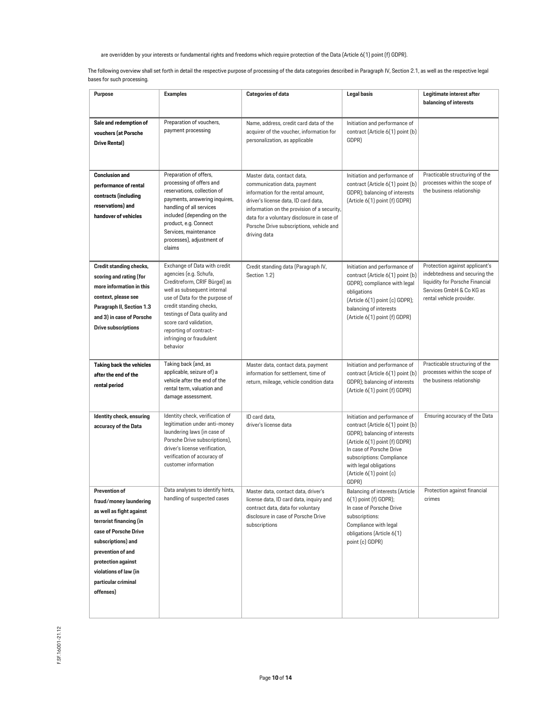are overridden by your interests or fundamental rights and freedoms which require protection of the Data (Article 6(1) point (f) GDPR).

The following overview shall set forth in detail the respective purpose of processing of the data categories described in Paragraph IV, Section 2.1, as well as the respective legal bases for such processing.

| Purpose                                                                                                                                                                                                                                               | <b>Examples</b>                                                                                                                                                                                                                                                                                                 | <b>Categories of data</b>                                                                                                                                                                                                                                                                        | <b>Legal basis</b>                                                                                                                                                                                                                                         | Legitimate interest after<br>balancing of interests                                                                                                        |
|-------------------------------------------------------------------------------------------------------------------------------------------------------------------------------------------------------------------------------------------------------|-----------------------------------------------------------------------------------------------------------------------------------------------------------------------------------------------------------------------------------------------------------------------------------------------------------------|--------------------------------------------------------------------------------------------------------------------------------------------------------------------------------------------------------------------------------------------------------------------------------------------------|------------------------------------------------------------------------------------------------------------------------------------------------------------------------------------------------------------------------------------------------------------|------------------------------------------------------------------------------------------------------------------------------------------------------------|
| Sale and redemption of<br>vouchers (at Porsche<br>Drive Rental)                                                                                                                                                                                       | Preparation of vouchers,<br>payment processing                                                                                                                                                                                                                                                                  | Name, address, credit card data of the<br>acquirer of the voucher, information for<br>personalization, as applicable                                                                                                                                                                             | Initiation and performance of<br>contract (Article 6(1) point (b)<br>GDPR)                                                                                                                                                                                 |                                                                                                                                                            |
| <b>Conclusion and</b><br>performance of rental<br>contracts (including<br>reservations) and<br>handover of vehicles                                                                                                                                   | Preparation of offers,<br>processing of offers and<br>reservations, collection of<br>payments, answering inquires,<br>handling of all services<br>included (depending on the<br>product, e.g. Connect<br>Services, maintenance<br>processes), adjustment of<br>claims                                           | Master data, contact data,<br>communication data, payment<br>information for the rental amount,<br>driver's license data, ID card data,<br>information on the provision of a security,<br>data for a voluntary disclosure in case of<br>Porsche Drive subscriptions, vehicle and<br>driving data | Initiation and performance of<br>contract (Article 6(1) point (b)<br>GDPR); balancing of interests<br>(Article 6(1) point (f) GDPR)                                                                                                                        | Practicable structuring of the<br>processes within the scope of<br>the business relationship                                                               |
| Credit standing checks,<br>scoring and rating (for<br>more information in this<br>context, please see<br>Paragraph II, Section 1.3<br>and 3) in case of Porsche<br><b>Drive subscriptions</b>                                                         | Exchange of Data with credit<br>agencies (e.g. Schufa,<br>Creditreform, CRIF Bürgel) as<br>well as subsequent internal<br>use of Data for the purpose of<br>credit standing checks,<br>testings of Data quality and<br>score card validation,<br>reporting of contract-<br>infringing or fraudulent<br>behavior | Credit standing data (Paragraph IV,<br>Section 1.2)                                                                                                                                                                                                                                              | Initiation and performance of<br>contract (Article 6(1) point (b)<br>GDPR); compliance with legal<br>obligations<br>(Article 6(1) point (c) GDPR);<br>balancing of interests<br>(Article 6(1) point (f) GDPR)                                              | Protection against applicant's<br>indebtedness and securing the<br>liquidity for Porsche Financial<br>Services GmbH & Co KG as<br>rental vehicle provider. |
| Taking back the vehicles<br>after the end of the<br>rental period                                                                                                                                                                                     | Taking back (and, as<br>applicable, seizure of) a<br>vehicle after the end of the<br>rental term, valuation and<br>damage assessment.                                                                                                                                                                           | Master data, contact data, payment<br>information for settlement, time of<br>return, mileage, vehicle condition data                                                                                                                                                                             | Initiation and performance of<br>contract (Article 6(1) point (b)<br>GDPR); balancing of interests<br>(Article 6(1) point (f) GDPR)                                                                                                                        | Practicable structuring of the<br>processes within the scope of<br>the business relationship                                                               |
| Identity check, ensuring<br>accuracy of the Data                                                                                                                                                                                                      | Identity check, verification of<br>legitimation under anti-money<br>laundering laws (in case of<br>Porsche Drive subscriptions),<br>driver's license verification,<br>verification of accuracy of<br>customer information                                                                                       | ID card data,<br>driver's license data                                                                                                                                                                                                                                                           | Initiation and performance of<br>contract (Article 6(1) point (b)<br>GDPR); balancing of interests<br>(Article 6(1) point (f) GDPR)<br>In case of Porsche Drive<br>subscriptions: Compliance<br>with legal obligations<br>(Article 6(1) point (c)<br>GDPR) | Ensuring accuracy of the Data                                                                                                                              |
| Prevention of<br>fraud/money laundering<br>as well as fight against<br>terrorist financing (in<br>case of Porsche Drive<br>subscriptions) and<br>prevention of and<br>protection against<br>violations of law (in<br>particular criminal<br>offenses) | Data analyses to identify hints,<br>handling of suspected cases                                                                                                                                                                                                                                                 | Master data, contact data, driver's<br>license data, ID card data, inquiry and<br>contract data, data for voluntary<br>disclosure in case of Porsche Drive<br>subscriptions                                                                                                                      | Balancing of interests (Article<br>6(1) point (f) GDPR);<br>In case of Porsche Drive<br>subscriptions:<br>Compliance with legal<br>obligations (Article 6(1)<br>point (c) GDPR)                                                                            | Protection against financial<br>crimes                                                                                                                     |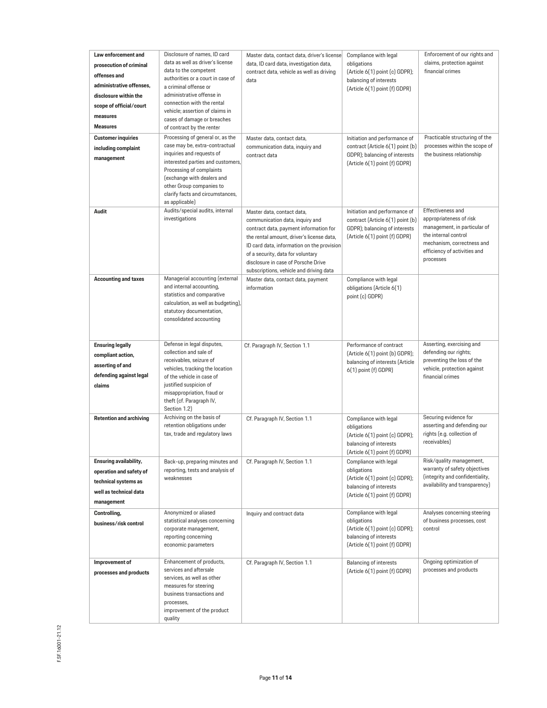| Law enforcement and<br>prosecution of criminal<br>offenses and<br>administrative offenses,<br>disclosure within the<br>scope of official/court<br>measures<br><b>Measures</b> | Disclosure of names, ID card<br>data as well as driver's license<br>data to the competent<br>authorities or a court in case of<br>a criminal offense or<br>administrative offense in<br>connection with the rental<br>vehicle; assertion of claims in<br>cases of damage or breaches<br>of contract by the renter | Master data, contact data, driver's license<br>data, ID card data, investigation data,<br>contract data, vehicle as well as driving<br>data                                                                                                                                                                               | Compliance with legal<br>obligations<br>(Article 6(1) point (c) GDPR);<br>balancing of interests<br>(Article 6(1) point (f) GDPR)   | Enforcement of our rights and<br>claims, protection against<br>financial crimes                                                                                                 |
|-------------------------------------------------------------------------------------------------------------------------------------------------------------------------------|-------------------------------------------------------------------------------------------------------------------------------------------------------------------------------------------------------------------------------------------------------------------------------------------------------------------|---------------------------------------------------------------------------------------------------------------------------------------------------------------------------------------------------------------------------------------------------------------------------------------------------------------------------|-------------------------------------------------------------------------------------------------------------------------------------|---------------------------------------------------------------------------------------------------------------------------------------------------------------------------------|
| <b>Customer inquiries</b><br>including complaint<br>management                                                                                                                | Processing of general or, as the<br>case may be, extra-contractual<br>inquiries and requests of<br>interested parties and customers,<br>Processing of complaints<br>(exchange with dealers and<br>other Group companies to<br>clarify facts and circumstances,<br>as applicable)                                  | Master data, contact data,<br>communication data, inquiry and<br>contract data                                                                                                                                                                                                                                            | Initiation and performance of<br>contract (Article 6(1) point (b)<br>GDPR); balancing of interests<br>(Article 6(1) point (f) GDPR) | Practicable structuring of the<br>processes within the scope of<br>the business relationship                                                                                    |
| Audit                                                                                                                                                                         | Audits/special audits, internal<br>investigations                                                                                                                                                                                                                                                                 | Master data, contact data,<br>communication data, inquiry and<br>contract data, payment information for<br>the rental amount, driver's license data,<br>ID card data, information on the provision<br>of a security, data for voluntary<br>disclosure in case of Porsche Drive<br>subscriptions, vehicle and driving data | Initiation and performance of<br>contract (Article 6(1) point (b)<br>GDPR); balancing of interests<br>(Article 6(1) point (f) GDPR) | Effectiveness and<br>appropriateness of risk<br>management, in particular of<br>the internal control<br>mechanism, correctness and<br>efficiency of activities and<br>processes |
| <b>Accounting and taxes</b>                                                                                                                                                   | Managerial accounting (external<br>and internal accounting,<br>statistics and comparative<br>calculation, as well as budgeting),<br>statutory documentation,<br>consolidated accounting                                                                                                                           | Master data, contact data, payment<br>information                                                                                                                                                                                                                                                                         | Compliance with legal<br>obligations (Article 6(1)<br>point (c) GDPR)                                                               |                                                                                                                                                                                 |
| <b>Ensuring legally</b><br>compliant action,<br>asserting of and<br>defending against legal<br>claims                                                                         | Defense in legal disputes,<br>collection and sale of<br>receivables, seizure of<br>vehicles, tracking the location<br>of the vehicle in case of<br>justified suspicion of<br>misappropriation, fraud or<br>theft (cf. Paragraph IV,<br>Section 1.2)                                                               | Cf. Paragraph IV, Section 1.1                                                                                                                                                                                                                                                                                             | Performance of contract<br>(Article 6(1) point (b) GDPR);<br>balancing of interests (Article<br>6(1) point (f) GDPR)                | Asserting, exercising and<br>defending our rights;<br>preventing the loss of the<br>vehicle, protection against<br>financial crimes                                             |
| <b>Retention and archiving</b>                                                                                                                                                | Archiving on the basis of<br>retention obligations under<br>tax, trade and regulatory laws                                                                                                                                                                                                                        | Cf. Paragraph IV, Section 1.1                                                                                                                                                                                                                                                                                             | Compliance with legal<br>obligations<br>(Article 6(1) point (c) GDPR);<br>balancing of interests<br>(Article 6(1) point (f) GDPR)   | Securing evidence for<br>asserting and defending our<br>rights (e.g. collection of<br>receivables)                                                                              |
| Ensuring availability,<br>operation and safety of<br>technical systems as<br>well as technical data<br>management                                                             | Back-up, preparing minutes and<br>reporting, tests and analysis of<br>weaknesses                                                                                                                                                                                                                                  | Cf. Paragraph IV, Section 1.1                                                                                                                                                                                                                                                                                             | Compliance with legal<br>obligations<br>(Article 6(1) point (c) GDPR);<br>balancing of interests<br>(Article 6(1) point (f) GDPR)   | Risk/quality management,<br>warranty of safety objectives<br>(integrity and confidentiality,<br>availability and transparency)                                                  |
| Controlling,<br>business/risk control                                                                                                                                         | Anonymized or aliased<br>statistical analyses concerning<br>corporate management,<br>reporting concerning<br>economic parameters                                                                                                                                                                                  | Inquiry and contract data                                                                                                                                                                                                                                                                                                 | Compliance with legal<br>obligations<br>(Article 6(1) point (c) GDPR);<br>balancing of interests<br>(Article 6(1) point (f) GDPR)   | Analyses concerning steering<br>of business processes, cost<br>control                                                                                                          |
| Improvement of<br>processes and products                                                                                                                                      | Enhancement of products,<br>services and aftersale<br>services, as well as other<br>measures for steering<br>business transactions and<br>processes,<br>improvement of the product<br>quality                                                                                                                     | Cf. Paragraph IV, Section 1.1                                                                                                                                                                                                                                                                                             | <b>Balancing of interests</b><br>(Article 6(1) point (f) GDPR)                                                                      | Ongoing optimization of<br>processes and products                                                                                                                               |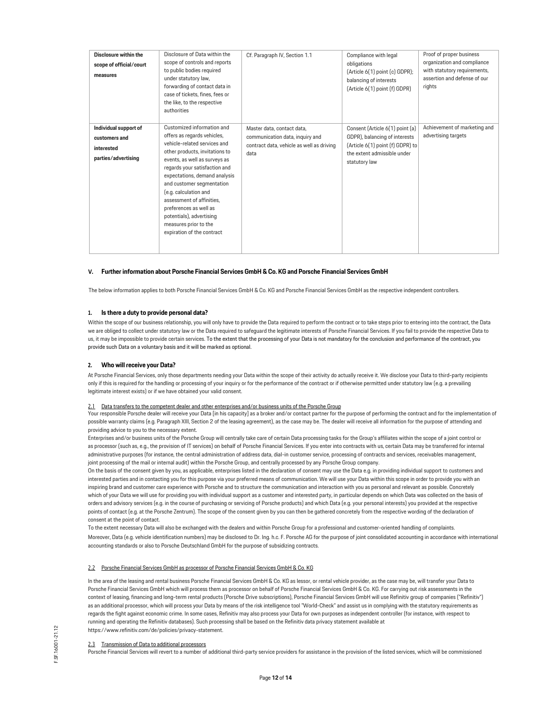| Disclosure within the<br>scope of official/court<br>measures                | Disclosure of Data within the<br>scope of controls and reports<br>to public bodies required<br>under statutory law,<br>forwarding of contact data in<br>case of tickets, fines, fees or<br>the like, to the respective<br>authorities                                                                                                                                                                                          | Cf. Paragraph IV, Section 1.1                                                                                      | Compliance with legal<br>obligations<br>(Article 6(1) point (c) GDPR);<br>balancing of interests<br>(Article 6(1) point (f) GDPR)                    | Proof of proper business<br>organization and compliance<br>with statutory requirements,<br>assertion and defense of our<br>rights |
|-----------------------------------------------------------------------------|--------------------------------------------------------------------------------------------------------------------------------------------------------------------------------------------------------------------------------------------------------------------------------------------------------------------------------------------------------------------------------------------------------------------------------|--------------------------------------------------------------------------------------------------------------------|------------------------------------------------------------------------------------------------------------------------------------------------------|-----------------------------------------------------------------------------------------------------------------------------------|
| Individual support of<br>customers and<br>interested<br>parties/advertising | Customized information and<br>offers as regards vehicles,<br>vehicle-related services and<br>other products, invitations to<br>events, as well as surveys as<br>regards your satisfaction and<br>expectations, demand analysis<br>and customer segmentation<br>(e.g. calculation and<br>assessment of affinities.<br>preferences as well as<br>potentials), advertising<br>measures prior to the<br>expiration of the contract | Master data, contact data,<br>communication data, inquiry and<br>contract data, vehicle as well as driving<br>data | Consent (Article 6(1) point (a)<br>GDPR), balancing of interests<br>(Article 6(1) point (f) GDPR) to<br>the extent admissible under<br>statutory law | Achievement of marketing and<br>advertising targets                                                                               |

# **V. Further information about Porsche Financial Services GmbH & Co. KG and Porsche Financial Services GmbH**

The below information applies to both Porsche Financial Services GmbH & Co. KG and Porsche Financial Services GmbH as the respective independent controllers.

# **1. Is there a duty to provide personal data?**

Within the scope of our business relationship, you will only have to provide the Data required to perform the contract or to take steps prior to entering into the contract, the Data we are obliged to collect under statutory law or the Data required to safeguard the legitimate interests of Porsche Financial Services. If you fail to provide the respective Data to us, it may be impossible to provide certain services. To the extent that the processing of your Data is not mandatory for the conclusion and performance of the contract, you provide such Data on a voluntary basis and it will be marked as optional.

#### <span id="page-11-0"></span>**2. Who will receive your Data?**

At Porsche Financial Services, only those departments needing your Data within the scope of their activity do actually receive it. We disclose your Data to third-party recipients only if this is required for the handling or processing of your inquiry or for the performance of the contract or if otherwise permitted under statutory law (e.g. a prevailing legitimate interest exists) or if we have obtained your valid consent.

#### 2.1 Data transfers to the competent dealer and other enterprises and/or business units of the Porsche Group

Your responsible Porsche dealer will receive your Data [in his capacity] as a broker and/or contact partner for the purpose of performing the contract and for the implementation of possible warranty claims (e.g. Paragraph XIII, Section 2 of the leasing agreement), as the case may be. The dealer will receive all information for the purpose of attending and providing advice to you to the necessary extent.

Enterprises and/or business units of the Porsche Group will centrally take care of certain Data processing tasks for the Group's affiliates within the scope of a joint control or as processor (such as, e.g., the provision of IT services) on behalf of Porsche Financial Services. If you enter into contracts with us, certain Data may be transferred for internal administrative purposes (for instance, the central administration of address data, dial-in customer service, processing of contracts and services, receivables management, joint processing of the mail or internal audit) within the Porsche Group, and centrally processed by any Porsche Group company.

On the basis of the consent given by you, as applicable, enterprises listed in the declaration of consent may use the Data e.g. in providing individual support to customers and interested parties and in contacting you for this purpose via your preferred means of communication. We will use your Data within this scope in order to provide you with an inspiring brand and customer care experience with Porsche and to structure the communication and interaction with you as personal and relevant as possible. Concretely which of your Data we will use for providing you with individual support as a customer and interested party, in particular depends on which Data was collected on the basis of orders and advisory services (e.g. in the course of purchasing or servicing of Porsche products) and which Data (e.g. your personal interests) you provided at the respective points of contact (e.g. at the Porsche Zentrum). The scope of the consent given by you can then be gathered concretely from the respective wording of the declaration of consent at the point of contact.

To the extent necessary Data will also be exchanged with the dealers and within Porsche Group for a professional and customer-oriented handling of complaints. Moreover, Data (e.g. vehicle identification numbers) may be disclosed to Dr. Ing. h.c. F. Porsche AG for the purpose of joint consolidated accounting in accordance with international accounting standards or also to Porsche Deutschland GmbH for the purpose of subsidizing contracts.

# 2.2 Porsche Financial Services GmbH as processor of Porsche Financial Services GmbH & Co. KG

In the area of the leasing and rental business Porsche Financial Services GmbH & Co. KG as lessor, or rental vehicle provider, as the case may be, will transfer your Data to Porsche Financial Services GmbH which will process them as processor on behalf of Porsche Financial Services GmbH & Co. KG. For carrying out risk assessments in the context of leasing, financing and long-term rental products (Porsche Drive subscriptions), Porsche Financial Services GmbH will use Refinitiv group of companies ("Refinitiv") as an additional processor, which will process your Data by means of the risk intelligence tool "World-Check" and assist us in complying with the statutory requirements as regards the fight against economic crime. In some cases, Refinitiv may also process your Data for own purposes as independent controller (for instance, with respect to running and operating the Refinitiv databases). Such processing shall be based on the Refinitiv data privacy statement available at https:/[/www.refinitiv.com/de/policies/privacy-statement.](http://www.refinitiv.com/de/policies/privacy-statement)

# 2.3 Transmission of Data to additional processors

Porsche Financial Services will revert to a number of additional third-party service providers for assistance in the provision of the listed services, which will be commissioned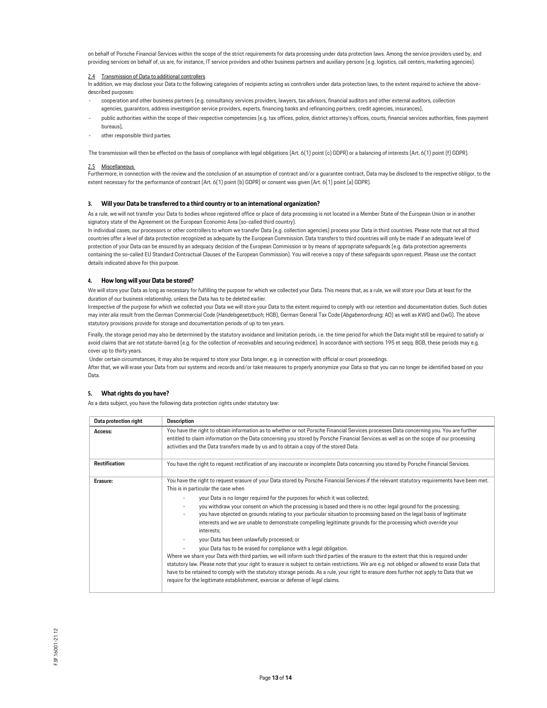on behalf of Porsche Financial Services within the scope of the strict requirements for data processing under data protection laws. Among the service providers used by, and providing services on behalf of, us are, for instance, IT service providers and other business partners and auxiliary persons (e.g. logistics, call centers, marketing agencies).

#### 2.4 Transmission of Data to additional controllers

In addition, we may disclose your Data to the following categories of recipients acting as controllers under data protection laws, to the extent required to achieve the abovedescribed purposes:

- cooperation and other business partners (e.g. consultancy services providers, lawyers, tax advisors, financial auditors and other external auditors, collection agencies, guarantors, address investigation service providers, experts, financing banks and refinancing partners, credit agencies, insurances),
- public authorities within the scope of their respective competencies (e.g. tax offices, police, district attorney's offices, courts, financial services authorities, fines payment bureaus),
- other responsible third parties.

The transmission will then be effected on the basis of compliance with legal obligations (Art. 6(1) point (c) GDPR) or a balancing of interests (Art. 6(1) point (f) GDPR).

#### 2.5 Miscellaneous

Furthermore, in connection with the review and the conclusion of an assumption of contract and/or a guarantee contract, Data may be disclosed to the respective obligor, to the extent necessary for the performance of contract (Art. 6(1) point (b) GDPR) or consent was given (Art. 6(1) point (a) GDPR).

### <span id="page-12-0"></span>**3. Will your Data be transferred to a third country or to an international organization?**

As a rule, we will not transfer your Data to bodies whose registered office or place of data processing is not located in a Member State of the European Union or in another signatory state of the Agreement on the European Economic Area (so-called third country).

In individual cases, our processors or other controllers to whom we transfer Data (e.g. collection agencies) process your Data in third countries. Please note that not all third countries offer a level of data protection recognized as adequate by the European Commission. Data transfers to third countries will only be made if an adequate level of protection of your Data can be ensured by an adequacy decision of the European Commission or by means of appropriate safeguards (e.g. data protection agreements containing the so-called EU Standard Contractual Clauses of the European Commission). You will receive a copy of these safeguards upon request. Please use the contact details indicated above for this purpose.

### <span id="page-12-1"></span>**4. How long will your Data be stored?**

We will store your Data as long as necessary for fulfilling the purpose for which we collected your Data. This means that, as a rule, we will store your Data at least for the duration of our business relationship, unless the Data has to be deleted earlier.

Irrespective of the purpose for which we collected your Data we will store your Data to the extent required to comply with our retention and documentation duties. Such duties may *inter alia* result from the German Commercial Code (*Handelsgesetzbuch*; HGB), German General Tax Code (*Abgabenordnung*; AO) as well as KWG and GwG). The above statutory provisions provide for storage and documentation periods of up to ten years.

Finally, the storage period may also be determined by the statutory avoidance and limitation periods, i.e. the time period for which the Data might still be required to satisfy or avoid claims that are not statute-barred (e.g. for the collection of receivables and securing evidence). In accordance with sections 195 et seqq. BGB, these periods may e.g. cover up to thirty years.

Under certain circumstances, it may also be required to store your Data longer, e.g. in connection with official or court proceedings.

After that, we will erase your Data from our systems and records and/or take measures to properly anonymize your Data so that you can no longer be identified based on your Data.

# <span id="page-12-2"></span>**5. What rights do you have?**

As a data subject, you have the following data protection rights under statutory law:

| Data protection right | <b>Description</b>                                                                                                                                                                                                                                                                                                                                                                                                                                                                                                                                                                              |  |
|-----------------------|-------------------------------------------------------------------------------------------------------------------------------------------------------------------------------------------------------------------------------------------------------------------------------------------------------------------------------------------------------------------------------------------------------------------------------------------------------------------------------------------------------------------------------------------------------------------------------------------------|--|
| Access:               | You have the right to obtain information as to whether or not Porsche Financial Services processes Data concerning you. You are further<br>entitled to claim information on the Data concerning you stored by Porsche Financial Services as well as on the scope of our processing<br>activities and the Data transfers made by us and to obtain a copy of the stored Data.                                                                                                                                                                                                                     |  |
| <b>Rectification:</b> | You have the right to request rectification of any inaccurate or incomplete Data concerning you stored by Porsche Financial Services.                                                                                                                                                                                                                                                                                                                                                                                                                                                           |  |
| Erasure:              | You have the right to request erasure of your Data stored by Porsche Financial Services if the relevant statutory requirements have been met.<br>This is in particular the case when                                                                                                                                                                                                                                                                                                                                                                                                            |  |
|                       | your Data is no longer required for the purposes for which it was collected;                                                                                                                                                                                                                                                                                                                                                                                                                                                                                                                    |  |
|                       | you withdraw your consent on which the processing is based and there is no other legal ground for the processing;<br>you have objected on grounds relating to your particular situation to processing based on the legal basis of legitimate<br>interests and we are unable to demonstrate compelling legitimate grounds for the processing which override your<br>interests;                                                                                                                                                                                                                   |  |
|                       | your Data has been unlawfully processed; or                                                                                                                                                                                                                                                                                                                                                                                                                                                                                                                                                     |  |
|                       | your Data has to be erased for compliance with a legal obligation.<br>Where we share your Data with third parties, we will inform such third parties of the erasure to the extent that this is required under<br>statutory law. Please note that your right to erasure is subject to certain restrictions. We are e.g. not obliged or allowed to erase Data that<br>have to be retained to comply with the statutory storage periods. As a rule, your right to erasure does further not apply to Data that we<br>require for the legitimate establishment, exercise or defense of legal claims. |  |